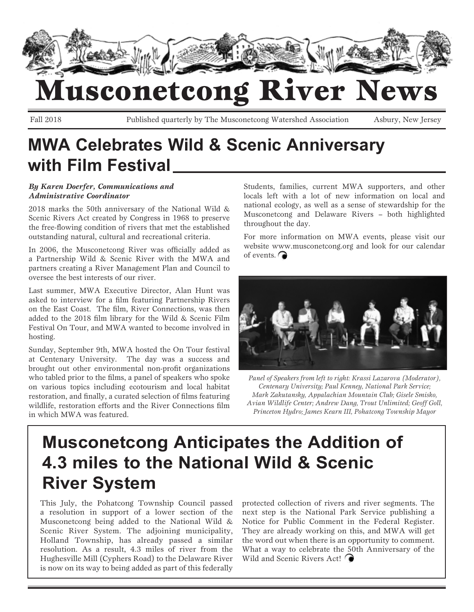

## usconetcong River News

Fall 2018 Published quarterly by The Musconetcong Watershed Association Asbury, New Jersey

## **MWA Celebrates Wild & Scenic Anniversary with Film Festival**

#### *By Karen Doerfer, Communications and Administrative Coordinator*

2018 marks the 50th anniversary of the National Wild & Scenic Rivers Act created by Congress in 1968 to preserve the free-flowing condition of rivers that met the established outstanding natural, cultural and recreational criteria.

In 2006, the Musconetcong River was officially added as a Partnership Wild & Scenic River with the MWA and partners creating a River Management Plan and Council to oversee the best interests of our river.

Last summer, MWA Executive Director, Alan Hunt was asked to interview for a film featuring Partnership Rivers on the East Coast. The film, River Connections, was then added to the 2018 film library for the Wild & Scenic Film Festival On Tour, and MWA wanted to become involved in hosting.

Sunday, September 9th, MWA hosted the On Tour festival at Centenary University. The day was a success and brought out other environmental non-profit organizations who tabled prior to the films, a panel of speakers who spoke on various topics including ecotourism and local habitat restoration, and finally, a curated selection of films featuring wildlife, restoration efforts and the River Connections film in which MWA was featured.

Students, families, current MWA supporters, and other locals left with a lot of new information on local and national ecology, as well as a sense of stewardship for the Musconetcong and Delaware Rivers – both highlighted throughout the day.

For more information on MWA events, please visit our website www.musconetcong.org and look for our calendar of events.  $\bigcap$ 



*Panel of Speakers from left to right: Krassi Lazarova (Moderator), Centenary University; Paul Kenney, National Park Service; Mark Zakutansky, Appalachian Mountain Club; Gisele Smisko, Avian Wildlife Center; Andrew Dang, Trout Unlimited; Geoff Goll, Princeton Hydro; James Kearn III, Pohatcong Township Mayor*

## **Musconetcong Anticipates the Addition of 4.3 miles to the National Wild & Scenic River System**

This July, the Pohatcong Township Council passed a resolution in support of a lower section of the Musconetcong being added to the National Wild & Scenic River System. The adjoining municipality, Holland Township, has already passed a similar resolution. As a result, 4.3 miles of river from the Hughesville Mill (Cyphers Road) to the Delaware River is now on its way to being added as part of this federally protected collection of rivers and river segments. The next step is the National Park Service publishing a Notice for Public Comment in the Federal Register. They are already working on this, and MWA will get the word out when there is an opportunity to comment. What a way to celebrate the 50th Anniversary of the Wild and Scenic Rivers Act!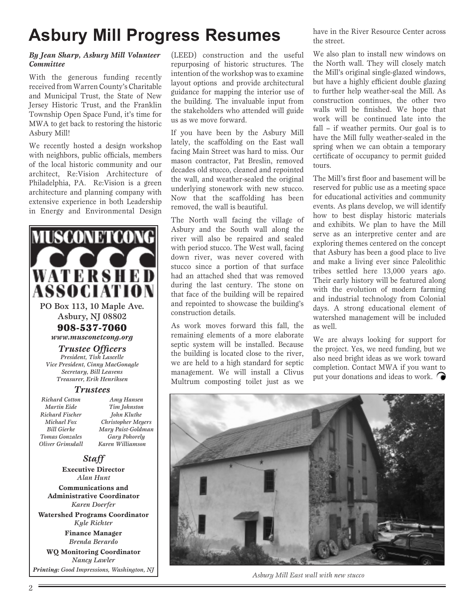## **Asbury Mill Progress Resumes**

#### *By Jean Sharp, Asbury Mill Volunteer Committee*

With the generous funding recently received from Warren County's Charitable and Municipal Trust, the State of New Jersey Historic Trust, and the Franklin Township Open Space Fund, it's time for MWA to get back to restoring the historic Asbury Mill!

We recently hosted a design workshop with neighbors, public officials, members of the local historic community and our architect, Re:Vision Architecture of Philadelphia, PA. Re:Vision is a green architecture and planning company with extensive experience in both Leadership in Energy and Environmental Design



*Brenda Berardo* **WQ Monitoring Coordinator** *Nancy Lawler*

(LEED) construction and the useful repurposing of historic structures. The intention of the workshop was to examine layout options and provide architectural guidance for mapping the interior use of the building. The invaluable input from the stakeholders who attended will guide us as we move forward.

If you have been by the Asbury Mill lately, the scaffolding on the East wall facing Main Street was hard to miss. Our mason contractor, Pat Breslin, removed decades old stucco, cleaned and repointed the wall, and weather-sealed the original underlying stonework with new stucco. Now that the scaffolding has been removed, the wall is beautiful.

The North wall facing the village of Asbury and the South wall along the river will also be repaired and sealed with period stucco. The West wall, facing down river, was never covered with stucco since a portion of that surface had an attached shed that was removed during the last century. The stone on that face of the building will be repaired and repointed to showcase the building's construction details.

As work moves forward this fall, the remaining elements of a more elaborate septic system will be installed. Because the building is located close to the river, we are held to a high standard for septic management. We will install a Clivus Multrum composting toilet just as we have in the River Resource Center across the street.

We also plan to install new windows on the North wall. They will closely match the Mill's original single-glazed windows, but have a highly efficient double glazing to further help weather-seal the Mill. As construction continues, the other two walls will be finished. We hope that work will be continued late into the fall – if weather permits. Our goal is to have the Mill fully weather-sealed in the spring when we can obtain a temporary certificate of occupancy to permit guided tours.

The Mill's first floor and basement will be reserved for public use as a meeting space for educational activities and community events. As plans develop, we will identify how to best display historic materials and exhibits. We plan to have the Mill serve as an interpretive center and are exploring themes centered on the concept that Asbury has been a good place to live and make a living ever since Paleolithic tribes settled here 13,000 years ago. Their early history will be featured along with the evolution of modern farming and industrial technology from Colonial days. A strong educational element of watershed management will be included as well.

We are always looking for support for the project. Yes, we need funding, but we also need bright ideas as we work toward completion. Contact MWA if you want to put your donations and ideas to work.



*Printing: Good Impressions, Washington, NJ Asbury Mill East wall with new stucco*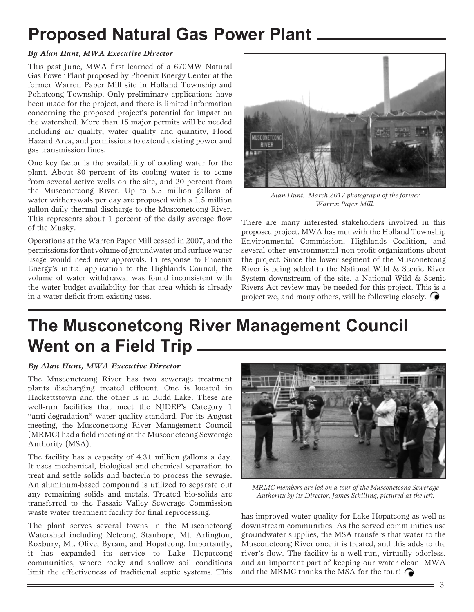## **Proposed Natural Gas Power Plant**

#### *By Alan Hunt, MWA Executive Director*

This past June, MWA first learned of a 670MW Natural Gas Power Plant proposed by Phoenix Energy Center at the former Warren Paper Mill site in Holland Township and Pohatcong Township. Only preliminary applications have been made for the project, and there is limited information concerning the proposed project's potential for impact on the watershed. More than 15 major permits will be needed including air quality, water quality and quantity, Flood Hazard Area, and permissions to extend existing power and gas transmission lines.

One key factor is the availability of cooling water for the plant. About 80 percent of its cooling water is to come from several active wells on the site, and 20 percent from the Musconetcong River. Up to 5.5 million gallons of water withdrawals per day are proposed with a 1.5 million gallon daily thermal discharge to the Musconetcong River. This represents about 1 percent of the daily average flow of the Musky.

Operations at the Warren Paper Mill ceased in 2007, and the permissions for that volume of groundwater and surface water usage would need new approvals. In response to Phoenix Energy's initial application to the Highlands Council, the volume of water withdrawal was found inconsistent with the water budget availability for that area which is already in a water deficit from existing uses.



*Alan Hunt. March 2017 photograph of the former Warren Paper Mill.*

There are many interested stakeholders involved in this proposed project. MWA has met with the Holland Township Environmental Commission, Highlands Coalition, and several other environmental non-profit organizations about the project. Since the lower segment of the Musconetcong River is being added to the National Wild & Scenic River System downstream of the site, a National Wild & Scenic Rivers Act review may be needed for this project. This is a project we, and many others, will be following closely.  $\bigcap$ 

## **The Musconetcong River Management Council Went on a Field Trip**

#### *By Alan Hunt, MWA Executive Director*

The Musconetcong River has two sewerage treatment plants discharging treated effluent. One is located in Hackettstown and the other is in Budd Lake. These are well-run facilities that meet the NJDEP's Category 1 "anti-degradation" water quality standard. For its August meeting, the Musconetcong River Management Council (MRMC) had a field meeting at the Musconetcong Sewerage Authority (MSA).

The facility has a capacity of 4.31 million gallons a day. It uses mechanical, biological and chemical separation to treat and settle solids and bacteria to process the sewage. An aluminum-based compound is utilized to separate out any remaining solids and metals. Treated bio-solids are transferred to the Passaic Valley Sewerage Commission waste water treatment facility for final reprocessing.

The plant serves several towns in the Musconetcong Watershed including Netcong, Stanhope, Mt. Arlington, Roxbury, Mt. Olive, Byram, and Hopatcong. Importantly, it has expanded its service to Lake Hopatcong communities, where rocky and shallow soil conditions limit the effectiveness of traditional septic systems. This



*MRMC members are led on a tour of the Musconetcong Sewerage Authority by its Director, James Schilling, pictured at the left.*

has improved water quality for Lake Hopatcong as well as downstream communities. As the served communities use groundwater supplies, the MSA transfers that water to the Musconetcong River once it is treated, and this adds to the river's flow. The facility is a well-run, virtually odorless, and an important part of keeping our water clean. MWA and the MRMC thanks the MSA for the tour!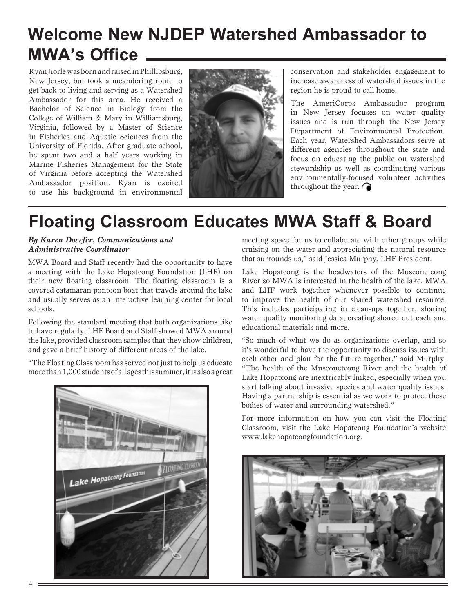## **Welcome New NJDEP Watershed Ambassador to MWA's Office**

Ryan Jiorle was born and raised in Phillipsburg, New Jersey, but took a meandering route to get back to living and serving as a Watershed Ambassador for this area. He received a Bachelor of Science in Biology from the College of William & Mary in Williamsburg, Virginia, followed by a Master of Science in Fisheries and Aquatic Sciences from the University of Florida. After graduate school, he spent two and a half years working in Marine Fisheries Management for the State of Virginia before accepting the Watershed Ambassador position. Ryan is excited to use his background in environmental



conservation and stakeholder engagement to increase awareness of watershed issues in the region he is proud to call home.

The AmeriCorps Ambassador program in New Jersey focuses on water quality issues and is run through the New Jersey Department of Environmental Protection. Each year, Watershed Ambassadors serve at different agencies throughout the state and focus on educating the public on watershed stewardship as well as coordinating various environmentally-focused volunteer activities throughout the year.

## **Floating Classroom Educates MWA Staff & Board**

#### *By Karen Doerfer, Communications and Administrative Coordinator*

MWA Board and Staff recently had the opportunity to have a meeting with the Lake Hopatcong Foundation (LHF) on their new floating classroom. The floating classroom is a covered catamaran pontoon boat that travels around the lake and usually serves as an interactive learning center for local schools.

Following the standard meeting that both organizations like to have regularly, LHF Board and Staff showed MWA around the lake, provided classroom samples that they show children, and gave a brief history of different areas of the lake.

"The Floating Classroom has served not just to help us educate more than 1,000 students of all ages this summer, it is also a great



meeting space for us to collaborate with other groups while cruising on the water and appreciating the natural resource that surrounds us," said Jessica Murphy, LHF President.

Lake Hopatcong is the headwaters of the Musconetcong River so MWA is interested in the health of the lake. MWA and LHF work together whenever possible to continue to improve the health of our shared watershed resource. This includes participating in clean-ups together, sharing water quality monitoring data, creating shared outreach and educational materials and more.

"So much of what we do as organizations overlap, and so it's wonderful to have the opportunity to discuss issues with each other and plan for the future together," said Murphy. "The health of the Musconetcong River and the health of Lake Hopatcong are inextricably linked, especially when you start talking about invasive species and water quality issues. Having a partnership is essential as we work to protect these bodies of water and surrounding watershed."

For more information on how you can visit the Floating Classroom, visit the Lake Hopatcong Foundation's website www.lakehopatcongfoundation.org.

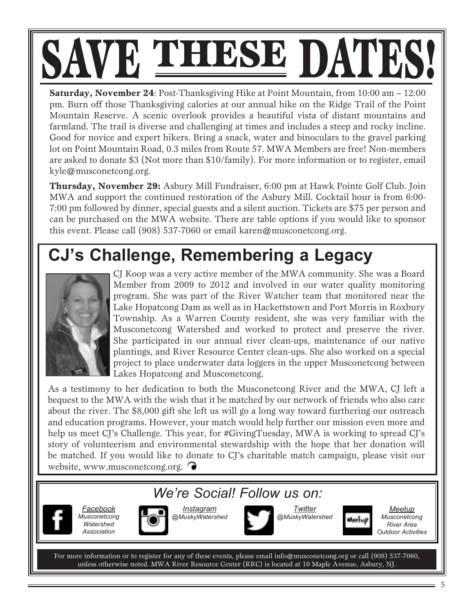# SAVE THESE DATES!

**Saturday, November 24**: Post-Thanksgiving Hike at Point Mountain, from 10:00 am – 12:00 pm. Burn off those Thanksgiving calories at our annual hike on the Ridge Trail of the Point Mountain Reserve. A scenic overlook provides a beautiful vista of distant mountains and farmland. The trail is diverse and challenging at times and includes a steep and rocky incline. Good for novice and expert hikers. Bring a snack, water and binoculars to the gravel parking lot on Point Mountain Road, 0.3 miles from Route 57. MWA Members are free! Non-members are asked to donate \$3 (Not more than \$10/family). For more information or to register, email kyle@musconetcong.org.

**Thursday, November 29:** Asbury Mill Fundraiser, 6:00 pm at Hawk Pointe Golf Club. Join MWA and support the continued restoration of the Asbury Mill. Cocktail hour is from 6:00- 7:00 pm followed by dinner, special guests and a silent auction. Tickets are \$75 per person and can be purchased on the MWA website. There are table options if you would like to sponsor this event. Please call (908) 537-7060 or email karen@musconetcong.org.

## **CJ's Challenge, Remembering a Legacy**



CJ Koop was a very active member of the MWA community. She was a Board Member from 2009 to 2012 and involved in our water quality monitoring program. She was part of the River Watcher team that monitored near the Lake Hopatcong Dam as well as in Hackettstown and Port Morris in Roxbury Township. As a Warren County resident, she was very familiar with the Musconetcong Watershed and worked to protect and preserve the river. She participated in our annual river clean-ups, maintenance of our native plantings, and River Resource Center clean-ups. She also worked on a special project to place underwater data loggers in the upper Musconetcong between Lakes Hopatcong and Musconetcong.

As a testimony to her dedication to both the Musconetcong River and the MWA, CJ left a bequest to the MWA with the wish that it be matched by our network of friends who also care about the river. The \$8,000 gift she left us will go a long way toward furthering our outreach and education programs. However, your match would help further our mission even more and help us meet CJ's Challenge. This year, for #GivingTuesday, MWA is working to spread CJ's story of volunteerism and environmental stewardship with the hope that her donation will be matched. If you would like to donate to CJ's charitable match campaign, please visit our website, www.musconetcong.org.

### *We're Social! Follow us on:*



*Facebook Musconetcong Watershed Association*



*Instagram @MuskyWatershed*





*Meetup Musconetcong River Area Outdoor Activities*

For more information or to register for any of these events, please email info@musconetcong.org or call (908) 537-7060, unless otherwise noted. MWA River Resource Center (RRC) is located at 10 Maple Avenue, Asbury, NJ.